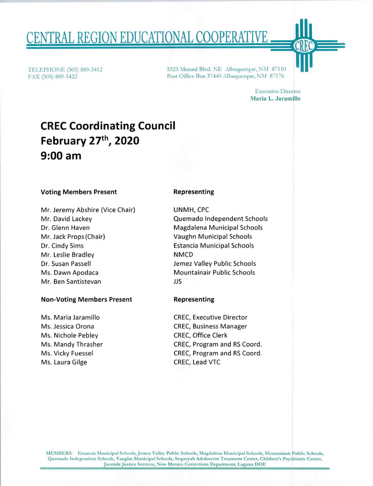# ENTRAL REGION EDUCATIONAL COOPERATIVE

TELEPHONE (505) 889-3412 FAX (505) 889-3422

5323 Menaul Blvd. NE Albuquerque, NM 87110 Post Office Box 37440 Albuquerque, NM 87176

> Executive Director Maria L. Jaramillo

# CREC Coordinating Council February 27th, 2020 9:00 am

#### Voting Members Present

Mr. Jeremy Abshire (Vice Chair) Mr. David Lackey Dr. Glenn Haven Mr. Jack Props (Chair) Dr. Cindy Sims Mr. Leslie Bradley Dr. Susan Passell Ms. Dawn Apodaca Mr. Ben Santistevan

#### Non-Voting Members Present

Ms. Maria Jaramillo Ms. Jessica Orona Ms. Nichole Pebley Ms. Mandy Thrasher Ms. Vicky Fuessel Ms. Laura Gilge

#### Representing

UNMH, CPC Quemado Independent Schools Magdalena Municipal Schools Vaughn Municipal Schools Estancia Municipal Schools NMCD Jemez Valley Public Schools Mountainair Public Schools JJS

#### Representing

CREC, Executive Director CREC, Business Manager CREC, Office Clerk CREC, Program and RS Coord. CREC, Program and RS Coord. CREC, Lead VTC

MEMBERS: Estancia Municipal Schools, Jcmez Valley Public Schools, Magdalen Municipal Schools, Mountainair Public Schools, Quemado Independent Schools, Vaughn Municipal Schools, Scquoyah Adolescent Treatment Center, Children's Psychiatric Center, Juvenile Justice Services, New Mexico Corrections Department, Laguna DOE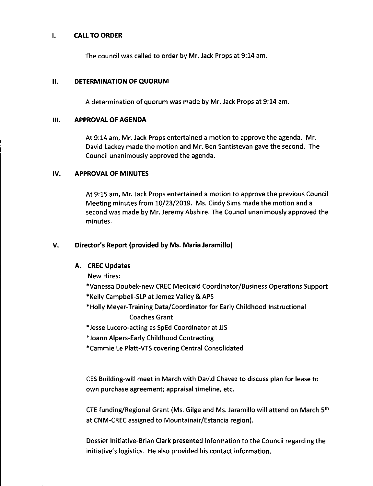#### I. CALL TO ORDER

The council was called to order by Mr. Jack Props at 9:14 am.

#### II. DETERMINATION OF QUORUM

A determination of quorum was made by Mr. Jack Props at 9:14 am.

#### III. APPROVAL OF AGENDA

At 9:14 am, Mr. Jack Props entertained a motion to approve the agenda. Mr. David Lackey made the motion and Mr. Ben Santistevan gave the second. The Council unanimously approved the agenda.

# IV. APPROVAL OF MINUTES

At 9:15 am, Mr. Jack Props entertained a motion to approve the previous Council Meeting minutes from 10/23/2019. Ms. Cindy Sims made the motion and a second was made by Mr. Jeremy Abshire. The Council unanimously approved the minutes.

# V. Director's Report (provided by Ms. Maria Jaramillo)

# A. CREC Updates

New Hires:

- \*Vanessa Doubek-new CREC Medicaid Coordinator/Business Operations Support
- \*Kelly Campbell-SLP at Jemez Valley & APS
- \*Holly Meyer-Training Data/Coordinator for Early Childhood Instructional Coaches Grant
- \*Jesse Lucero-acting as SpEd Coordinator at JJS
- \*Joann Alpers-Early Childhood Contracting
- \*Cammie Le Platt-VTS covering Central Consolidated

CES Building-will meet in March with David Chavez to discuss plan for lease to own purchase agreement; appraisal timeline, etc.

CTE funding/Regional Grant (Ms. Gilge and Ms. Jaramillo will attend on March  $5<sup>th</sup>$ at CNM-CREC assigned to Mountainair/Estancia region).

Dossier Initiative-Brian Clark presented information to the Council regarding the initiative's logistics. He also provided his contact information.